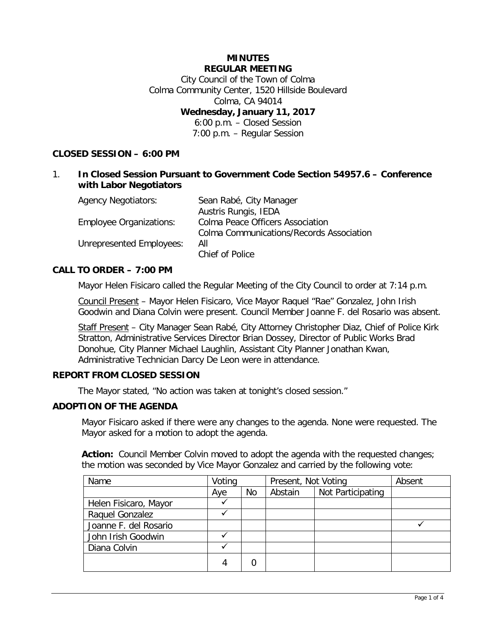# **MINUTES REGULAR MEETING**

City Council of the Town of Colma Colma Community Center, 1520 Hillside Boulevard Colma, CA 94014 **Wednesday, January 11, 2017** 6:00 p.m. – Closed Session 7:00 p.m. – Regular Session

# **CLOSED SESSION – 6:00 PM**

## 1. **In Closed Session Pursuant to Government Code Section 54957.6 – Conference with Labor Negotiators**

| <b>Agency Negotiators:</b>     | Sean Rabé, City Manager                  |
|--------------------------------|------------------------------------------|
|                                | Austris Rungis, IEDA                     |
| <b>Employee Organizations:</b> | Colma Peace Officers Association         |
|                                | Colma Communications/Records Association |
| Unrepresented Employees:       | All                                      |
|                                | Chief of Police                          |

### **CALL TO ORDER – 7:00 PM**

Mayor Helen Fisicaro called the Regular Meeting of the City Council to order at 7:14 p.m.

Council Present – Mayor Helen Fisicaro, Vice Mayor Raquel "Rae" Gonzalez, John Irish Goodwin and Diana Colvin were present. Council Member Joanne F. del Rosario was absent.

Staff Present - City Manager Sean Rabé, City Attorney Christopher Diaz, Chief of Police Kirk Stratton, Administrative Services Director Brian Dossey, Director of Public Works Brad Donohue, City Planner Michael Laughlin, Assistant City Planner Jonathan Kwan, Administrative Technician Darcy De Leon were in attendance.

## **REPORT FROM CLOSED SESSION**

The Mayor stated, "No action was taken at tonight's closed session."

#### **ADOPTION OF THE AGENDA**

Mayor Fisicaro asked if there were any changes to the agenda. None were requested. The Mayor asked for a motion to adopt the agenda.

**Action:** Council Member Colvin moved to adopt the agenda with the requested changes; the motion was seconded by Vice Mayor Gonzalez and carried by the following vote:

| Name                  | Voting |    | Present, Not Voting |                   | Absent |
|-----------------------|--------|----|---------------------|-------------------|--------|
|                       | Aye    | No | Abstain             | Not Participating |        |
| Helen Fisicaro, Mayor |        |    |                     |                   |        |
| Raquel Gonzalez       |        |    |                     |                   |        |
| Joanne F. del Rosario |        |    |                     |                   |        |
| John Irish Goodwin    |        |    |                     |                   |        |
| Diana Colvin          |        |    |                     |                   |        |
|                       | 4      |    |                     |                   |        |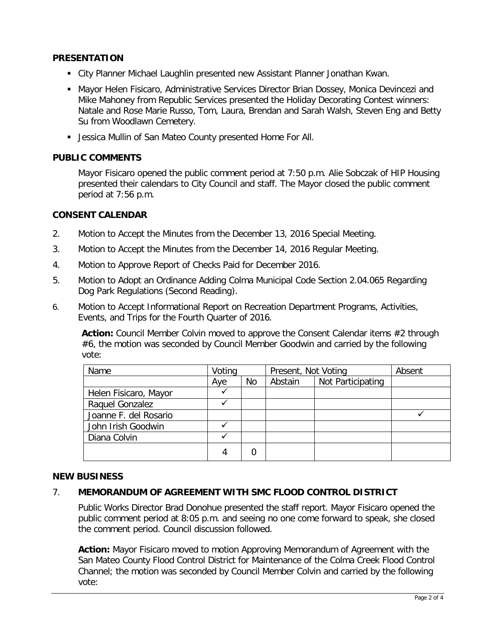## **PRESENTATION**

- City Planner Michael Laughlin presented new Assistant Planner Jonathan Kwan.
- **Mayor Helen Fisicaro, Administrative Services Director Brian Dossey, Monica Devincezi and** Mike Mahoney from Republic Services presented the Holiday Decorating Contest winners: Natale and Rose Marie Russo, Tom, Laura, Brendan and Sarah Walsh, Steven Eng and Betty Su from Woodlawn Cemetery.
- Jessica Mullin of San Mateo County presented Home For All.

### **PUBLIC COMMENTS**

Mayor Fisicaro opened the public comment period at 7:50 p.m. Alie Sobczak of HIP Housing presented their calendars to City Council and staff. The Mayor closed the public comment period at 7:56 p.m.

### **CONSENT CALENDAR**

- 2. Motion to Accept the Minutes from the December 13, 2016 Special Meeting.
- 3. Motion to Accept the Minutes from the December 14, 2016 Regular Meeting.
- 4. Motion to Approve Report of Checks Paid for December 2016.
- 5. Motion to Adopt an Ordinance Adding Colma Municipal Code Section 2.04.065 Regarding Dog Park Regulations (Second Reading).
- 6. Motion to Accept Informational Report on Recreation Department Programs, Activities, Events, and Trips for the Fourth Quarter of 2016.

**Action:** Council Member Colvin moved to approve the Consent Calendar items #2 through #6, the motion was seconded by Council Member Goodwin and carried by the following vote:

| Name                  | Voting |    | Present, Not Voting |                   | Absent |
|-----------------------|--------|----|---------------------|-------------------|--------|
|                       | Aye    | No | Abstain             | Not Participating |        |
| Helen Fisicaro, Mayor |        |    |                     |                   |        |
| Raquel Gonzalez       |        |    |                     |                   |        |
| Joanne F. del Rosario |        |    |                     |                   |        |
| John Irish Goodwin    |        |    |                     |                   |        |
| Diana Colvin          |        |    |                     |                   |        |
|                       | 4      |    |                     |                   |        |

#### **NEW BUSINESS**

## 7. **MEMORANDUM OF AGREEMENT WITH SMC FLOOD CONTROL DISTRICT**

Public Works Director Brad Donohue presented the staff report. Mayor Fisicaro opened the public comment period at 8:05 p.m. and seeing no one come forward to speak, she closed the comment period. Council discussion followed.

**Action:** Mayor Fisicaro moved to motion Approving Memorandum of Agreement with the San Mateo County Flood Control District for Maintenance of the Colma Creek Flood Control Channel; the motion was seconded by Council Member Colvin and carried by the following vote: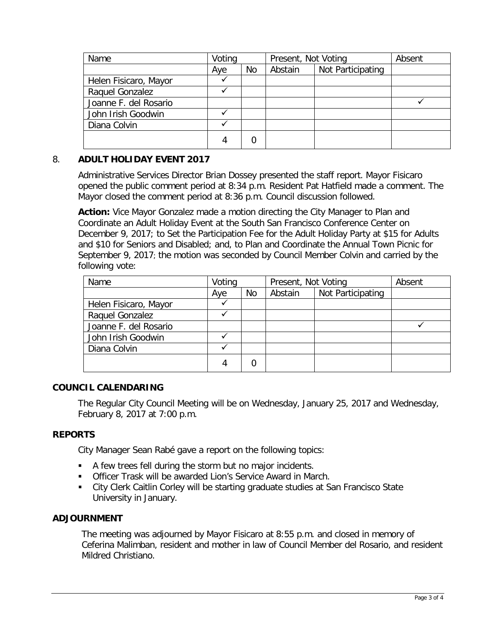| Name                  | Voting |    | Present, Not Voting |                   | Absent |
|-----------------------|--------|----|---------------------|-------------------|--------|
|                       | Aye    | No | Abstain             | Not Participating |        |
| Helen Fisicaro, Mayor |        |    |                     |                   |        |
| Raquel Gonzalez       |        |    |                     |                   |        |
| Joanne F. del Rosario |        |    |                     |                   |        |
| John Irish Goodwin    |        |    |                     |                   |        |
| Diana Colvin          |        |    |                     |                   |        |
|                       | 4      | 0  |                     |                   |        |

# 8. **ADULT HOLIDAY EVENT 2017**

Administrative Services Director Brian Dossey presented the staff report. Mayor Fisicaro opened the public comment period at 8:34 p.m. Resident Pat Hatfield made a comment. The Mayor closed the comment period at 8:36 p.m. Council discussion followed.

**Action:** Vice Mayor Gonzalez made a motion directing the City Manager to Plan and Coordinate an Adult Holiday Event at the South San Francisco Conference Center on December 9, 2017; to Set the Participation Fee for the Adult Holiday Party at \$15 for Adults and \$10 for Seniors and Disabled; and, to Plan and Coordinate the Annual Town Picnic for September 9, 2017; the motion was seconded by Council Member Colvin and carried by the following vote:

| Name                  | Voting |    | Present, Not Voting |                   | Absent |
|-----------------------|--------|----|---------------------|-------------------|--------|
|                       | Aye    | No | Abstain             | Not Participating |        |
| Helen Fisicaro, Mayor |        |    |                     |                   |        |
| Raquel Gonzalez       |        |    |                     |                   |        |
| Joanne F. del Rosario |        |    |                     |                   |        |
| John Irish Goodwin    |        |    |                     |                   |        |
| Diana Colvin          |        |    |                     |                   |        |
|                       | 4      | 0  |                     |                   |        |

## **COUNCIL CALENDARING**

The Regular City Council Meeting will be on Wednesday, January 25, 2017 and Wednesday, February 8, 2017 at 7:00 p.m.

#### **REPORTS**

City Manager Sean Rabé gave a report on the following topics:

- A few trees fell during the storm but no major incidents.
- **Officer Trask will be awarded Lion's Service Award in March.**
- City Clerk Caitlin Corley will be starting graduate studies at San Francisco State University in January.

### **ADJOURNMENT**

The meeting was adjourned by Mayor Fisicaro at 8:55 p.m. and closed in memory of Ceferina Malimban, resident and mother in law of Council Member del Rosario, and resident Mildred Christiano.